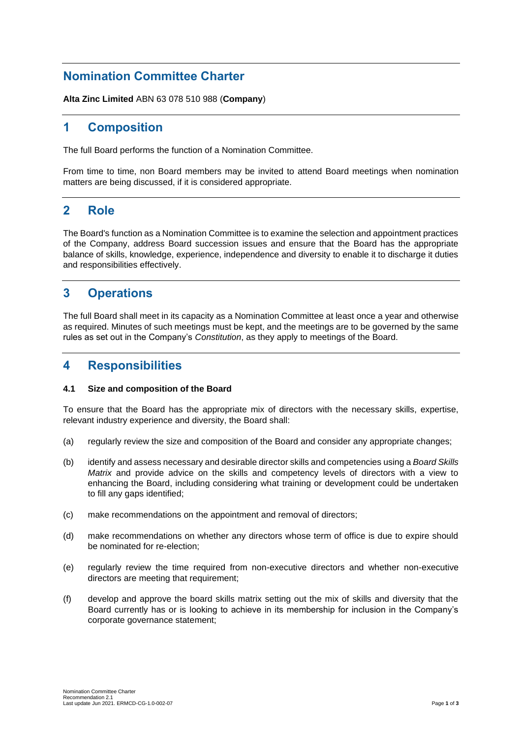## **Nomination Committee Charter**

**Alta Zinc Limited** ABN 63 078 510 988 (**Company**)

# **1 Composition**

The full Board performs the function of a Nomination Committee.

From time to time, non Board members may be invited to attend Board meetings when nomination matters are being discussed, if it is considered appropriate.

### **2 Role**

The Board's function as a Nomination Committee is to examine the selection and appointment practices of the Company, address Board succession issues and ensure that the Board has the appropriate balance of skills, knowledge, experience, independence and diversity to enable it to discharge it duties and responsibilities effectively.

## **3 Operations**

The full Board shall meet in its capacity as a Nomination Committee at least once a year and otherwise as required. Minutes of such meetings must be kept, and the meetings are to be governed by the same rules as set out in the Company's *Constitution*, as they apply to meetings of the Board.

### **4 Responsibilities**

### **4.1 Size and composition of the Board**

To ensure that the Board has the appropriate mix of directors with the necessary skills, expertise, relevant industry experience and diversity, the Board shall:

- (a) regularly review the size and composition of the Board and consider any appropriate changes;
- (b) identify and assess necessary and desirable director skills and competencies using a *Board Skills Matrix* and provide advice on the skills and competency levels of directors with a view to enhancing the Board, including considering what training or development could be undertaken to fill any gaps identified;
- (c) make recommendations on the appointment and removal of directors;
- (d) make recommendations on whether any directors whose term of office is due to expire should be nominated for re-election;
- (e) regularly review the time required from non-executive directors and whether non-executive directors are meeting that requirement;
- (f) develop and approve the board skills matrix setting out the mix of skills and diversity that the Board currently has or is looking to achieve in its membership for inclusion in the Company's corporate governance statement;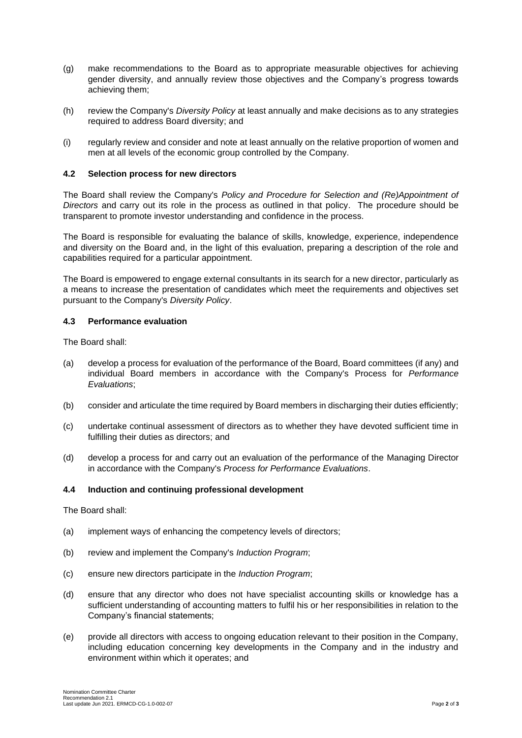- (g) make recommendations to the Board as to appropriate measurable objectives for achieving gender diversity, and annually review those objectives and the Company's progress towards achieving them;
- (h) review the Company's *Diversity Policy* at least annually and make decisions as to any strategies required to address Board diversity; and
- (i) regularly review and consider and note at least annually on the relative proportion of women and men at all levels of the economic group controlled by the Company.

#### **4.2 Selection process for new directors**

The Board shall review the Company's *Policy and Procedure for Selection and (Re)Appointment of Directors* and carry out its role in the process as outlined in that policy. The procedure should be transparent to promote investor understanding and confidence in the process.

The Board is responsible for evaluating the balance of skills, knowledge, experience, independence and diversity on the Board and, in the light of this evaluation, preparing a description of the role and capabilities required for a particular appointment.

The Board is empowered to engage external consultants in its search for a new director, particularly as a means to increase the presentation of candidates which meet the requirements and objectives set pursuant to the Company's *Diversity Policy*.

#### **4.3 Performance evaluation**

The Board shall:

- (a) develop a process for evaluation of the performance of the Board, Board committees (if any) and individual Board members in accordance with the Company's Process for *Performance Evaluations*;
- (b) consider and articulate the time required by Board members in discharging their duties efficiently;
- (c) undertake continual assessment of directors as to whether they have devoted sufficient time in fulfilling their duties as directors; and
- (d) develop a process for and carry out an evaluation of the performance of the Managing Director in accordance with the Company's *Process for Performance Evaluations*.

#### **4.4 Induction and continuing professional development**

The Board shall:

- (a) implement ways of enhancing the competency levels of directors;
- (b) review and implement the Company's *Induction Program*;
- (c) ensure new directors participate in the *Induction Program*;
- (d) ensure that any director who does not have specialist accounting skills or knowledge has a sufficient understanding of accounting matters to fulfil his or her responsibilities in relation to the Company's financial statements;
- (e) provide all directors with access to ongoing education relevant to their position in the Company, including education concerning key developments in the Company and in the industry and environment within which it operates; and